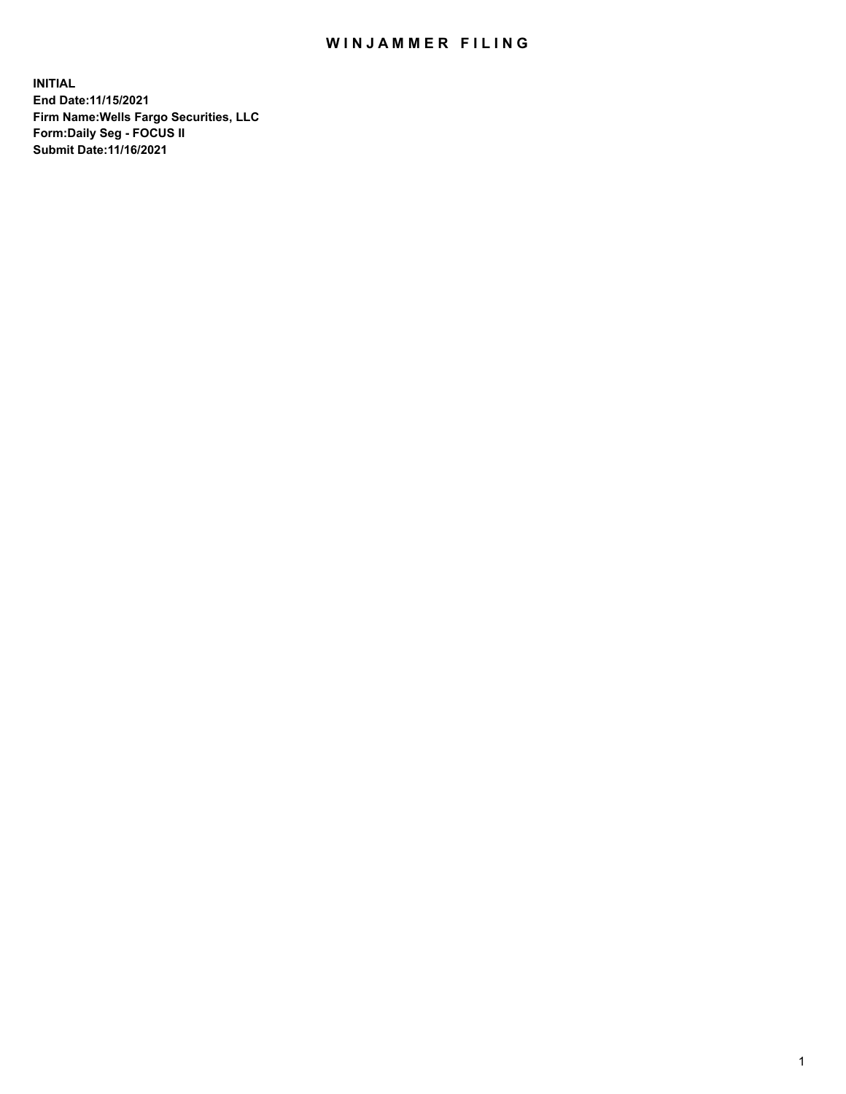## WIN JAMMER FILING

**INITIAL End Date:11/15/2021 Firm Name:Wells Fargo Securities, LLC Form:Daily Seg - FOCUS II Submit Date:11/16/2021**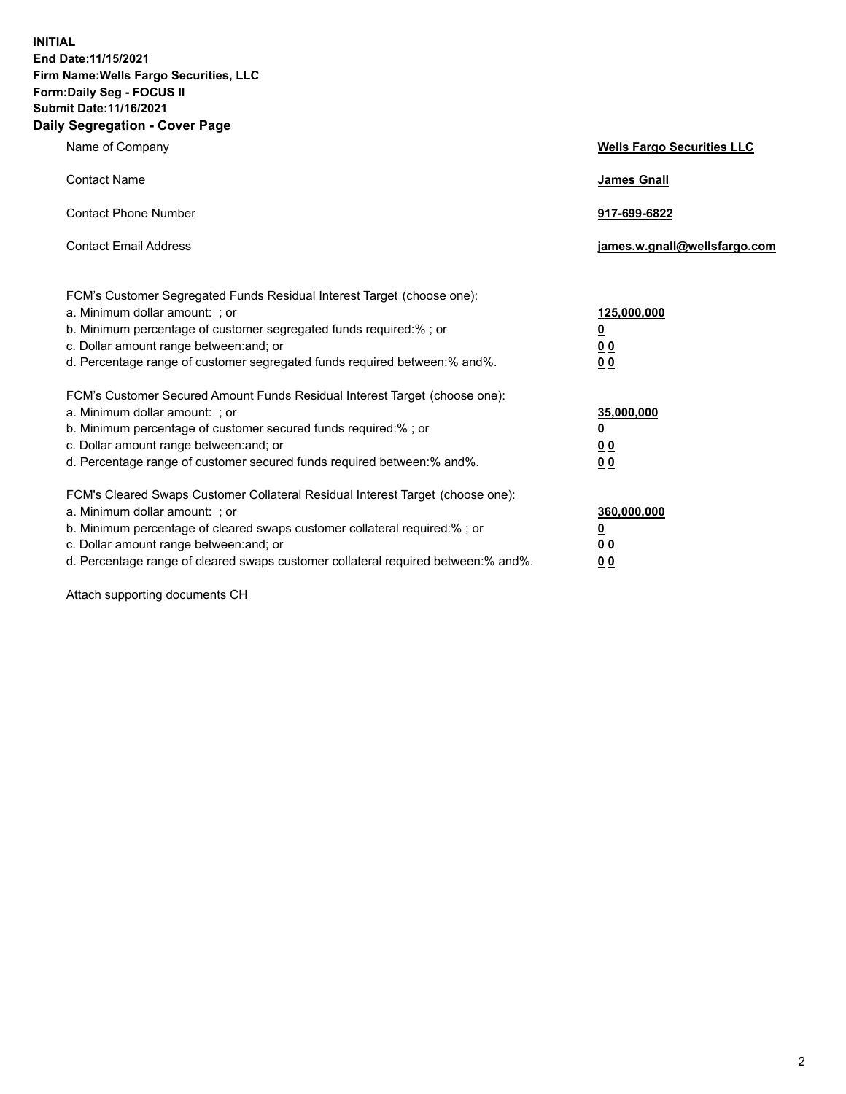**INITIAL End Date:11/15/2021 Firm Name:Wells Fargo Securities, LLC Form:Daily Seg - FOCUS II Submit Date:11/16/2021 Daily Segregation - Cover Page**

| Name of Company                                                                                                                                                                                                                                                                                                                | <b>Wells Fargo Securities LLC</b>                          |
|--------------------------------------------------------------------------------------------------------------------------------------------------------------------------------------------------------------------------------------------------------------------------------------------------------------------------------|------------------------------------------------------------|
| <b>Contact Name</b>                                                                                                                                                                                                                                                                                                            | <b>James Gnall</b>                                         |
| <b>Contact Phone Number</b>                                                                                                                                                                                                                                                                                                    | 917-699-6822                                               |
| <b>Contact Email Address</b>                                                                                                                                                                                                                                                                                                   | james.w.gnall@wellsfargo.com                               |
| FCM's Customer Segregated Funds Residual Interest Target (choose one):<br>a. Minimum dollar amount: ; or<br>b. Minimum percentage of customer segregated funds required:% ; or<br>c. Dollar amount range between: and; or<br>d. Percentage range of customer segregated funds required between: % and %.                       | 125,000,000<br><u>0</u><br><u>00</u><br>0 <sub>0</sub>     |
| FCM's Customer Secured Amount Funds Residual Interest Target (choose one):<br>a. Minimum dollar amount: ; or<br>b. Minimum percentage of customer secured funds required:% ; or<br>c. Dollar amount range between: and; or<br>d. Percentage range of customer secured funds required between: % and %.                         | 35,000,000<br><u>0</u><br>0 <sub>0</sub><br>0 <sub>0</sub> |
| FCM's Cleared Swaps Customer Collateral Residual Interest Target (choose one):<br>a. Minimum dollar amount: ; or<br>b. Minimum percentage of cleared swaps customer collateral required:% ; or<br>c. Dollar amount range between: and; or<br>d. Percentage range of cleared swaps customer collateral required between:% and%. | 360,000,000<br><u>0</u><br>00<br><u>00</u>                 |

Attach supporting documents CH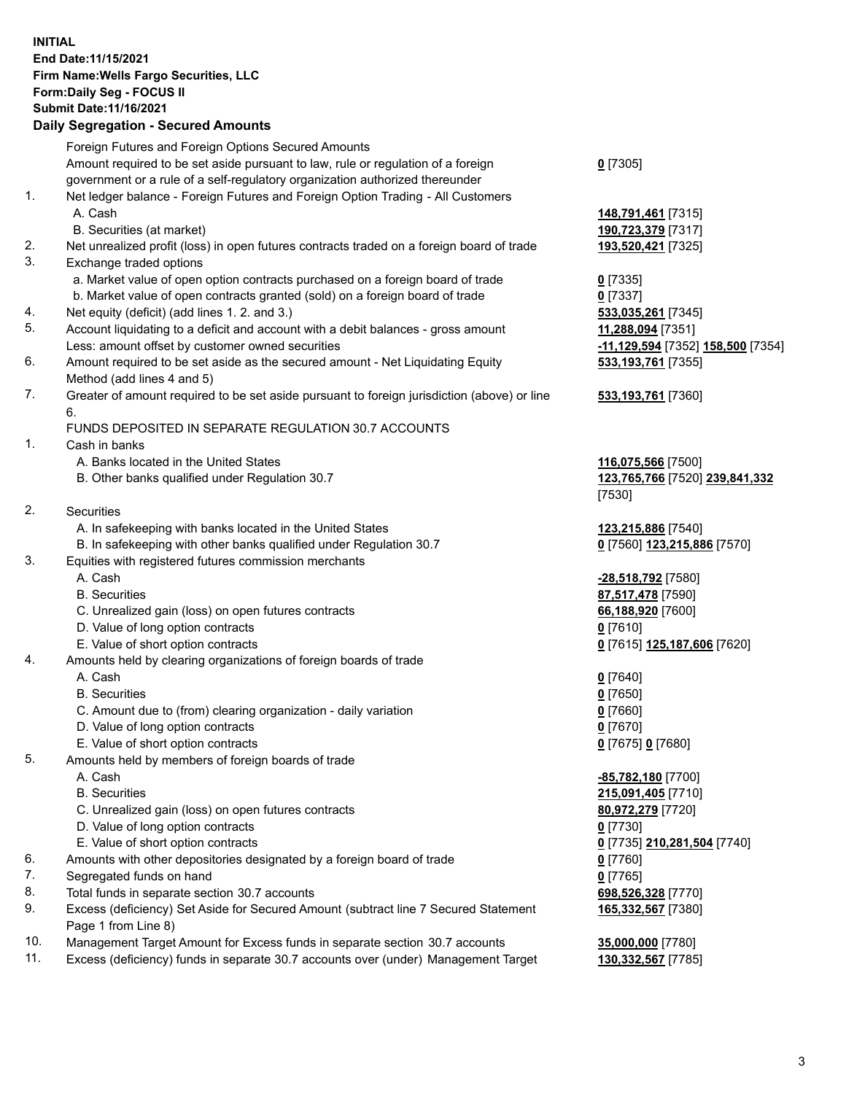## **INITIAL End Date:11/15/2021 Firm Name:Wells Fargo Securities, LLC Form:Daily Seg - FOCUS II Submit Date:11/16/2021**

## **Daily Segregation - Secured Amounts**

|     | Foreign Futures and Foreign Options Secured Amounts                                         |                                   |
|-----|---------------------------------------------------------------------------------------------|-----------------------------------|
|     | Amount required to be set aside pursuant to law, rule or regulation of a foreign            | $0$ [7305]                        |
|     | government or a rule of a self-regulatory organization authorized thereunder                |                                   |
| 1.  | Net ledger balance - Foreign Futures and Foreign Option Trading - All Customers             |                                   |
|     | A. Cash                                                                                     | 148,791,461 [7315]                |
|     | B. Securities (at market)                                                                   | 190,723,379 [7317]                |
| 2.  | Net unrealized profit (loss) in open futures contracts traded on a foreign board of trade   | 193,520,421 [7325]                |
| 3.  | Exchange traded options                                                                     |                                   |
|     | a. Market value of open option contracts purchased on a foreign board of trade              | $0$ [7335]                        |
|     | b. Market value of open contracts granted (sold) on a foreign board of trade                | $0$ [7337]                        |
| 4.  | Net equity (deficit) (add lines 1. 2. and 3.)                                               | 533,035,261 [7345]                |
| 5.  | Account liquidating to a deficit and account with a debit balances - gross amount           | 11,288,094 [7351]                 |
|     | Less: amount offset by customer owned securities                                            |                                   |
| 6.  | Amount required to be set aside as the secured amount - Net Liquidating Equity              | -11,129,594 [7352] 158,500 [7354] |
|     |                                                                                             | 533,193,761 [7355]                |
| 7.  | Method (add lines 4 and 5)                                                                  |                                   |
|     | Greater of amount required to be set aside pursuant to foreign jurisdiction (above) or line | 533,193,761 [7360]                |
|     | 6.                                                                                          |                                   |
| 1.  | FUNDS DEPOSITED IN SEPARATE REGULATION 30.7 ACCOUNTS<br>Cash in banks                       |                                   |
|     |                                                                                             |                                   |
|     | A. Banks located in the United States                                                       | 116,075,566 [7500]                |
|     | B. Other banks qualified under Regulation 30.7                                              | 123,765,766 [7520] 239,841,332    |
|     |                                                                                             | [7530]                            |
| 2.  | Securities                                                                                  |                                   |
|     | A. In safekeeping with banks located in the United States                                   | 123,215,886 [7540]                |
|     | B. In safekeeping with other banks qualified under Regulation 30.7                          | 0 [7560] 123,215,886 [7570]       |
| 3.  | Equities with registered futures commission merchants                                       |                                   |
|     | A. Cash                                                                                     | -28,518,792 [7580]                |
|     | <b>B.</b> Securities                                                                        | 87,517,478 [7590]                 |
|     | C. Unrealized gain (loss) on open futures contracts                                         | 66,188,920 [7600]                 |
|     | D. Value of long option contracts                                                           | $0$ [7610]                        |
|     | E. Value of short option contracts                                                          | 0 [7615] 125,187,606 [7620]       |
| 4.  | Amounts held by clearing organizations of foreign boards of trade                           |                                   |
|     | A. Cash                                                                                     | $0$ [7640]                        |
|     | <b>B.</b> Securities                                                                        | $0$ [7650]                        |
|     | C. Amount due to (from) clearing organization - daily variation                             | $0$ [7660]                        |
|     | D. Value of long option contracts                                                           | $0$ [7670]                        |
|     | E. Value of short option contracts                                                          | 0 [7675] 0 [7680]                 |
| 5.  | Amounts held by members of foreign boards of trade                                          |                                   |
|     | A. Cash                                                                                     | -85,782,180 [7700]                |
|     | <b>B.</b> Securities                                                                        | 215,091,405 [7710]                |
|     | C. Unrealized gain (loss) on open futures contracts                                         | 80,972,279 [7720]                 |
|     | D. Value of long option contracts                                                           | $0$ [7730]                        |
|     | E. Value of short option contracts                                                          | 0 [7735] 210,281,504 [7740]       |
| 6.  | Amounts with other depositories designated by a foreign board of trade                      | $0$ [7760]                        |
| 7.  | Segregated funds on hand                                                                    | $0$ [7765]                        |
| 8.  | Total funds in separate section 30.7 accounts                                               | 698,526,328 [7770]                |
| 9.  | Excess (deficiency) Set Aside for Secured Amount (subtract line 7 Secured Statement         | 165,332,567 [7380]                |
|     | Page 1 from Line 8)                                                                         |                                   |
| 10. | Management Target Amount for Excess funds in separate section 30.7 accounts                 | 35,000,000 [7780]                 |

11. Excess (deficiency) funds in separate 30.7 accounts over (under) Management Target **130,332,567** [7785]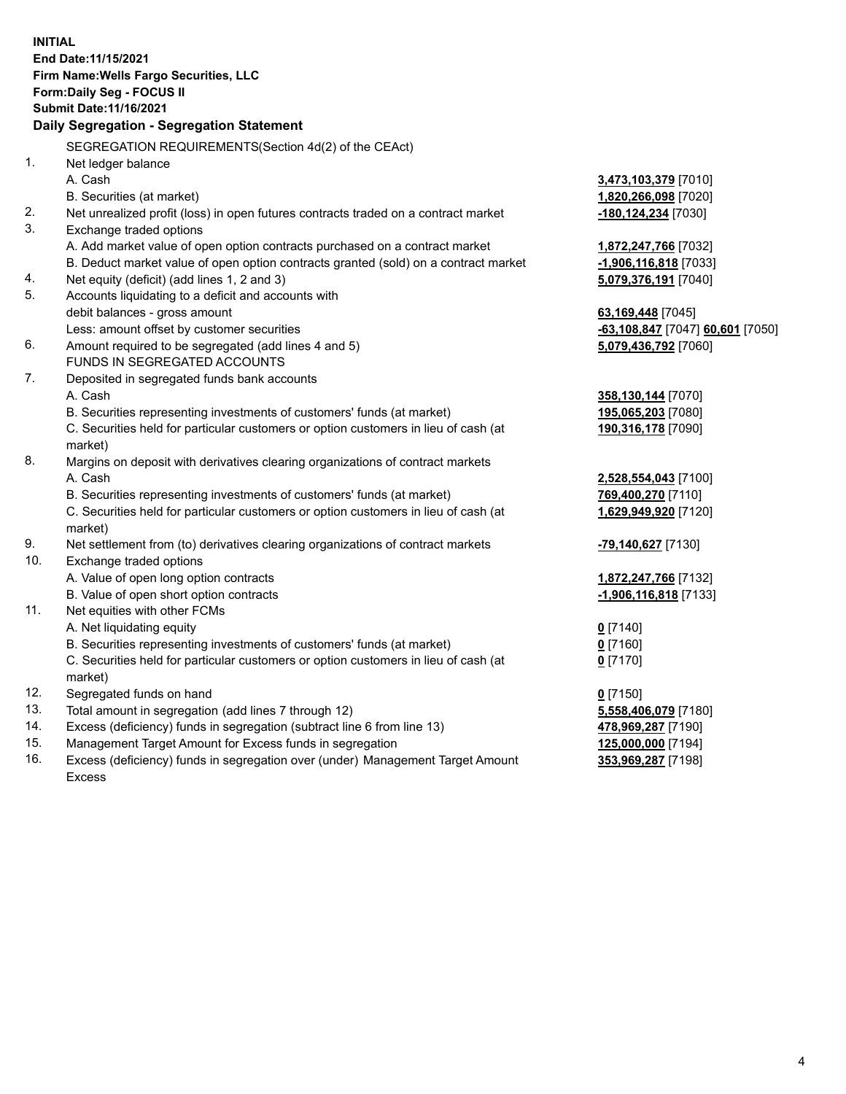**INITIAL End Date:11/15/2021 Firm Name:Wells Fargo Securities, LLC Form:Daily Seg - FOCUS II Submit Date:11/16/2021 Daily Segregation - Segregation Statement** SEGREGATION REQUIREMENTS(Section 4d(2) of the CEAct) 1. Net ledger balance A. Cash **3,473,103,379** [7010] B. Securities (at market) **1,820,266,098** [7020] 2. Net unrealized profit (loss) in open futures contracts traded on a contract market **-180,124,234** [7030] 3. Exchange traded options A. Add market value of open option contracts purchased on a contract market **1,872,247,766** [7032] B. Deduct market value of open option contracts granted (sold) on a contract market **-1,906,116,818** [7033] 4. Net equity (deficit) (add lines 1, 2 and 3) **5,079,376,191** [7040] 5. Accounts liquidating to a deficit and accounts with debit balances - gross amount **63,169,448** [7045] Less: amount offset by customer securities **-63,108,847** [7047] **60,601** [7050] 6. Amount required to be segregated (add lines 4 and 5) **5,079,436,792** [7060] FUNDS IN SEGREGATED ACCOUNTS 7. Deposited in segregated funds bank accounts A. Cash **358,130,144** [7070] B. Securities representing investments of customers' funds (at market) **195,065,203** [7080] C. Securities held for particular customers or option customers in lieu of cash (at market) **190,316,178** [7090] 8. Margins on deposit with derivatives clearing organizations of contract markets A. Cash **2,528,554,043** [7100] B. Securities representing investments of customers' funds (at market) **769,400,270** [7110] C. Securities held for particular customers or option customers in lieu of cash (at market) **1,629,949,920** [7120] 9. Net settlement from (to) derivatives clearing organizations of contract markets **-79,140,627** [7130] 10. Exchange traded options A. Value of open long option contracts **1,872,247,766** [7132] B. Value of open short option contracts **-1,906,116,818** [7133] 11. Net equities with other FCMs A. Net liquidating equity **0** [7140] B. Securities representing investments of customers' funds (at market) **0** [7160] C. Securities held for particular customers or option customers in lieu of cash (at market) **0** [7170] 12. Segregated funds on hand **0** [7150] 13. Total amount in segregation (add lines 7 through 12) **5,558,406,079** [7180] 14. Excess (deficiency) funds in segregation (subtract line 6 from line 13) **478,969,287** [7190]

- 15. Management Target Amount for Excess funds in segregation **125,000,000** [7194]
- 16. Excess (deficiency) funds in segregation over (under) Management Target Amount Excess

**353,969,287** [7198]